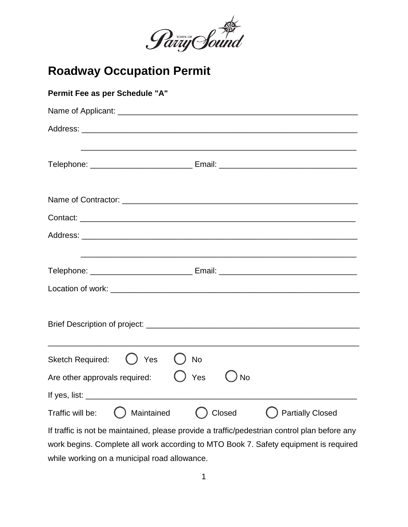

## **Roadway Occupation Permit**

| Permit Fee as per Schedule "A"                                                                                                                                                                                                       |  |  |  |
|--------------------------------------------------------------------------------------------------------------------------------------------------------------------------------------------------------------------------------------|--|--|--|
|                                                                                                                                                                                                                                      |  |  |  |
|                                                                                                                                                                                                                                      |  |  |  |
|                                                                                                                                                                                                                                      |  |  |  |
|                                                                                                                                                                                                                                      |  |  |  |
|                                                                                                                                                                                                                                      |  |  |  |
|                                                                                                                                                                                                                                      |  |  |  |
| <u> 1999 - Johann Harry Harry Harry Harry Harry Harry Harry Harry Harry Harry Harry Harry Harry Harry Harry Harry</u>                                                                                                                |  |  |  |
|                                                                                                                                                                                                                                      |  |  |  |
|                                                                                                                                                                                                                                      |  |  |  |
| Sketch Required: () Yes<br><b>No</b>                                                                                                                                                                                                 |  |  |  |
| Yes<br>Are other approvals required:<br>No                                                                                                                                                                                           |  |  |  |
| If yes, list:                                                                                                                                                                                                                        |  |  |  |
| <b>Partially Closed</b><br>Closed<br>Maintained<br>Traffic will be:                                                                                                                                                                  |  |  |  |
| If traffic is not be maintained, please provide a traffic/pedestrian control plan before any<br>work begins. Complete all work according to MTO Book 7. Safety equipment is required<br>while working on a municipal road allowance. |  |  |  |